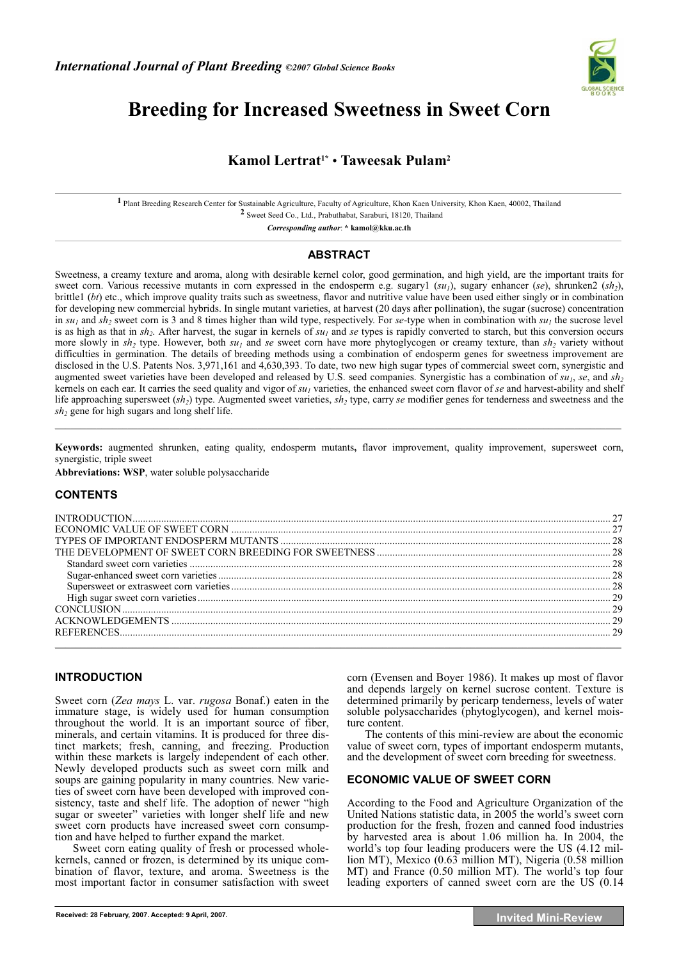

# **Breeding for Increased Sweetness in Sweet Corn**

# **Kamol Lertrat1\*** • **Taweesak Pulam2**

**1** Plant Breeding Research Center for Sustainable Agriculture, Faculty of Agriculture, Khon Kaen University, Khon Kaen, 40002, Thailand **2** Sweet Seed Co., Ltd., Prabuthabat, Saraburi, 18120, Thailand

*Corresponding author*: **\* kamol@kku.ac.th** 

## **ABSTRACT**

Sweetness, a creamy texture and aroma, along with desirable kernel color, good germination, and high yield, are the important traits for sweet corn. Various recessive mutants in corn expressed in the endosperm e.g. sugary1 (*su<sub>1</sub>*), sugary enhancer (*se*), shrunken2 (*sh*<sub>2</sub>), brittle1 (*bt*) etc., which improve quality traits such as sweetness, flavor and nutritive value have been used either singly or in combination for developing new commercial hybrids. In single mutant varieties, at harvest (20 days after pollination), the sugar (sucrose) concentration in  $su_1$  and  $sh_2$  sweet corn is 3 and 8 times higher than wild type, respectively. For *se*-type when in combination with  $su_1$  the sucrose level is as high as that in  $sh_2$ . After harvest, the sugar in kernels of  $su_1$  and se types is rapidly converted to starch, but this conversion occurs more slowly in  $sh_2$  type. However, both  $su_1$  and *se* sweet corn have more phytoglycogen or creamy texture, than  $sh_2$  variety without difficulties in germination. The details of breeding methods using a combination of endosperm genes for sweetness improvement are disclosed in the U.S. Patents Nos. 3,971,161 and 4,630,393. To date, two new high sugar types of commercial sweet corn, synergistic and augmented sweet varieties have been developed and released by U.S. seed companies. Synergistic has a combination of  $su_1$ ,  $se$ , and  $sh_2$ kernels on each ear. It carries the seed quality and vigor of *su<sub>1</sub>* varieties, the enhanced sweet corn flavor of *se* and harvest-ability and shelf life approaching supersweet (*sh<sub>2</sub>*) type. Augmented sweet varieties, *sh<sub>2</sub>* type, carry *se* modifier genes for tenderness and sweetness and the  $sh<sub>2</sub>$  gene for high sugars and long shelf life.  $\mathcal{L} = \{ \mathcal{L} = \{ \mathcal{L} = \{ \mathcal{L} = \{ \mathcal{L} = \{ \mathcal{L} = \{ \mathcal{L} = \{ \mathcal{L} = \{ \mathcal{L} = \{ \mathcal{L} = \{ \mathcal{L} = \{ \mathcal{L} = \{ \mathcal{L} = \{ \mathcal{L} = \{ \mathcal{L} = \{ \mathcal{L} = \{ \mathcal{L} = \{ \mathcal{L} = \{ \mathcal{L} = \{ \mathcal{L} = \{ \mathcal{L} = \{ \mathcal{L} = \{ \mathcal{L} = \{ \mathcal{L} = \{ \mathcal{$ 

**Keywords:** augmented shrunken, eating quality, endosperm mutants**,** flavor improvement, quality improvement, supersweet corn, synergistic, triple sweet

**Abbreviations: WSP**, water soluble polysaccharide

## **CONTENTS**

# **INTRODUCTION**

Sweet corn (*Zea mays* L. var. *rugosa* Bonaf.) eaten in the immature stage, is widely used for human consumption throughout the world. It is an important source of fiber, minerals, and certain vitamins. It is produced for three distinct markets; fresh, canning, and freezing. Production within these markets is largely independent of each other. Newly developed products such as sweet corn milk and soups are gaining popularity in many countries. New varieties of sweet corn have been developed with improved consistency, taste and shelf life. The adoption of newer "high sugar or sweeter" varieties with longer shelf life and new sweet corn products have increased sweet corn consumption and have helped to further expand the market.

Sweet corn eating quality of fresh or processed wholekernels, canned or frozen, is determined by its unique combination of flavor, texture, and aroma. Sweetness is the most important factor in consumer satisfaction with sweet

corn (Evensen and Boyer 1986). It makes up most of flavor and depends largely on kernel sucrose content. Texture is determined primarily by pericarp tenderness, levels of water soluble polysaccharides (phytoglycogen), and kernel moisture content.

The contents of this mini-review are about the economic value of sweet corn, types of important endosperm mutants, and the development of sweet corn breeding for sweetness.

#### **ECONOMIC VALUE OF SWEET CORN**

According to the Food and Agriculture Organization of the United Nations statistic data, in 2005 the world's sweet corn production for the fresh, frozen and canned food industries by harvested area is about 1.06 million ha. In 2004, the world's top four leading producers were the US (4.12 million MT), Mexico (0.63 million MT), Nigeria (0.58 million MT) and France (0.50 million MT). The world's top four leading exporters of canned sweet corn are the US (0.14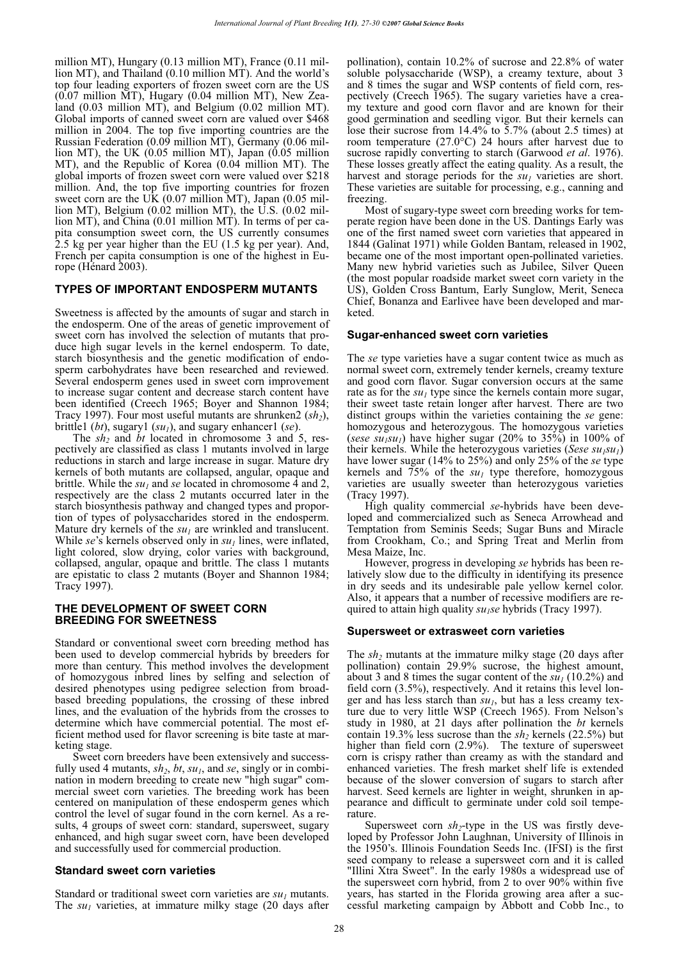million MT), Hungary (0.13 million MT), France (0.11 million MT), and Thailand (0.10 million MT). And the world's top four leading exporters of frozen sweet corn are the US (0.07 million MT), Hugary (0.04 million MT), New Zealand (0.03 million MT), and Belgium (0.02 million MT). Global imports of canned sweet corn are valued over \$468 million in 2004. The top five importing countries are the Russian Federation (0.09 million MT), Germany (0.06 million MT), the UK (0.05 million MT), Japan (0.05 million MT), and the Republic of Korea (0.04 million MT). The global imports of frozen sweet corn were valued over \$218 million. And, the top five importing countries for frozen sweet corn are the UK  $(0.07 \text{ million MT})$ , Japan  $(0.05 \text{ mil}$ lion MT), Belgium (0.02 million MT), the U.S. (0.02 million MT), and China (0.01 million MT). In terms of per capita consumption sweet corn, the US currently consumes 2.5 kg per year higher than the EU (1.5 kg per year). And, French per capita consumption is one of the highest in Europe (Hénard 2003).

## **TYPES OF IMPORTANT ENDOSPERM MUTANTS**

Sweetness is affected by the amounts of sugar and starch in the endosperm. One of the areas of genetic improvement of sweet corn has involved the selection of mutants that produce high sugar levels in the kernel endosperm. To date, starch biosynthesis and the genetic modification of endosperm carbohydrates have been researched and reviewed. Several endosperm genes used in sweet corn improvement to increase sugar content and decrease starch content have been identified (Creech 1965; Boyer and Shannon 1984; Tracy 1997). Four most useful mutants are shrunken2 (sh<sub>2</sub>), brittle1 (*bt*), sugary1 (*su1*), and sugary enhancer1 (*se*).

The *sh<sub>2</sub>* and *bt* located in chromosome 3 and 5, respectively are classified as class 1 mutants involved in large reductions in starch and large increase in sugar. Mature dry kernels of both mutants are collapsed, angular, opaque and brittle. While the  $su_1$  and *se* located in chromosome  $\overline{4}$  and 2, respectively are the class 2 mutants occurred later in the starch biosynthesis pathway and changed types and proportion of types of polysaccharides stored in the endosperm. Mature dry kernels of the  $su<sub>1</sub>$  are wrinkled and translucent. While  $se$ 's kernels observed only in  $su<sub>1</sub>$  lines, were inflated, light colored, slow drying, color varies with background, collapsed, angular, opaque and brittle. The class 1 mutants are epistatic to class 2 mutants (Boyer and Shannon 1984; Tracy 1997).

#### **THE DEVELOPMENT OF SWEET CORN BREEDING FOR SWEETNESS**

Standard or conventional sweet corn breeding method has been used to develop commercial hybrids by breeders for more than century. This method involves the development of homozygous inbred lines by selfing and selection of desired phenotypes using pedigree selection from broadbased breeding populations, the crossing of these inbred lines, and the evaluation of the hybrids from the crosses to determine which have commercial potential. The most efficient method used for flavor screening is bite taste at marketing stage.

Sweet corn breeders have been extensively and successfully used 4 mutants,  $sh_2$ ,  $bt$ ,  $su_1$ , and  $se$ , singly or in combination in modern breeding to create new "high sugar" commercial sweet corn varieties. The breeding work has been centered on manipulation of these endosperm genes which control the level of sugar found in the corn kernel. As a results, 4 groups of sweet corn: standard, supersweet, sugary enhanced, and high sugar sweet corn, have been developed and successfully used for commercial production.

#### **Standard sweet corn varieties**

Standard or traditional sweet corn varieties are  $su_1$  mutants. The  $su<sub>1</sub>$  varieties, at immature milky stage (20 days after pollination), contain 10.2% of sucrose and 22.8% of water soluble polysaccharide (WSP), a creamy texture, about 3 and 8 times the sugar and WSP contents of field corn, respectively (Creech 1965). The sugary varieties have a creamy texture and good corn flavor and are known for their good germination and seedling vigor. But their kernels can lose their sucrose from 14.4% to 5.7% (about 2.5 times) at room temperature (27.0°C) 24 hours after harvest due to sucrose rapidly converting to starch (Garwood *et al*. 1976). These losses greatly affect the eating quality. As a result, the harvest and storage periods for the  $su<sub>1</sub>$  varieties are short. These varieties are suitable for processing, e.g., canning and freezing.

Most of sugary-type sweet corn breeding works for temperate region have been done in the US. Dantings Early was one of the first named sweet corn varieties that appeared in 1844 (Galinat 1971) while Golden Bantam, released in 1902, became one of the most important open-pollinated varieties. Many new hybrid varieties such as Jubilee, Silver Queen (the most popular roadside market sweet corn variety in the US), Golden Cross Bantum, Early Sunglow, Merit, Seneca Chief, Bonanza and Earlivee have been developed and marketed.

#### **Sugar-enhanced sweet corn varieties**

The *se* type varieties have a sugar content twice as much as normal sweet corn, extremely tender kernels, creamy texture and good corn flavor. Sugar conversion occurs at the same rate as for the  $su<sub>1</sub>$  type since the kernels contain more sugar, their sweet taste retain longer after harvest. There are two distinct groups within the varieties containing the *se* gene: homozygous and heterozygous. The homozygous varieties (*sese su<sub>1</sub>su<sub>1</sub>*) have higher sugar (20% to 35%) in 100% of their kernels. While the heterozygous varieties (*Sese su<sub>1</sub>su<sub>1</sub>*) have lower sugar (14% to 25%) and only 25% of the *se* type kernels and  $75\%$  of the  $su<sub>1</sub>$  type therefore, homozygous varieties are usually sweeter than heterozygous varieties (Tracy 1997).

High quality commercial *se*-hybrids have been developed and commercialized such as Seneca Arrowhead and Temptation from Seminis Seeds; Sugar Buns and Miracle from Crookham, Co.; and Spring Treat and Merlin from Mesa Maize, Inc.

However, progress in developing *se* hybrids has been relatively slow due to the difficulty in identifying its presence in dry seeds and its undesirable pale yellow kernel color. Also, it appears that a number of recessive modifiers are required to attain high quality *su<sub>1</sub>se* hybrids (Tracy 1997).

#### **Supersweet or extrasweet corn varieties**

The *sh<sub>2</sub>* mutants at the immature milky stage (20 days after pollination) contain 29.9% sucrose, the highest amount, about 3 and 8 times the sugar content of the  $su<sub>1</sub>$  (10.2%) and field corn (3.5%), respectively. And it retains this level longer and has less starch than  $su_1$ , but has a less creamy texture due to very little WSP (Creech 1965). From Nelson's study in 1980, at 21 days after pollination the *bt* kernels contain 19.3% less sucrose than the *sh<sub>2</sub>* kernels (22.5%) but higher than field corn  $(2.9\%)$ . The texture of supersweet corn is crispy rather than creamy as with the standard and enhanced varieties. The fresh market shelf life is extended because of the slower conversion of sugars to starch after harvest. Seed kernels are lighter in weight, shrunken in appearance and difficult to germinate under cold soil temperature.

Supersweet corn  $sh_2$ -type in the US was firstly developed by Professor John Laughnan, University of Illinois in the 1950's. Illinois Foundation Seeds Inc. (IFSI) is the first seed company to release a supersweet corn and it is called "Illini Xtra Sweet". In the early 1980s a widespread use of the supersweet corn hybrid, from 2 to over 90% within five years, has started in the Florida growing area after a successful marketing campaign by Abbott and Cobb Inc., to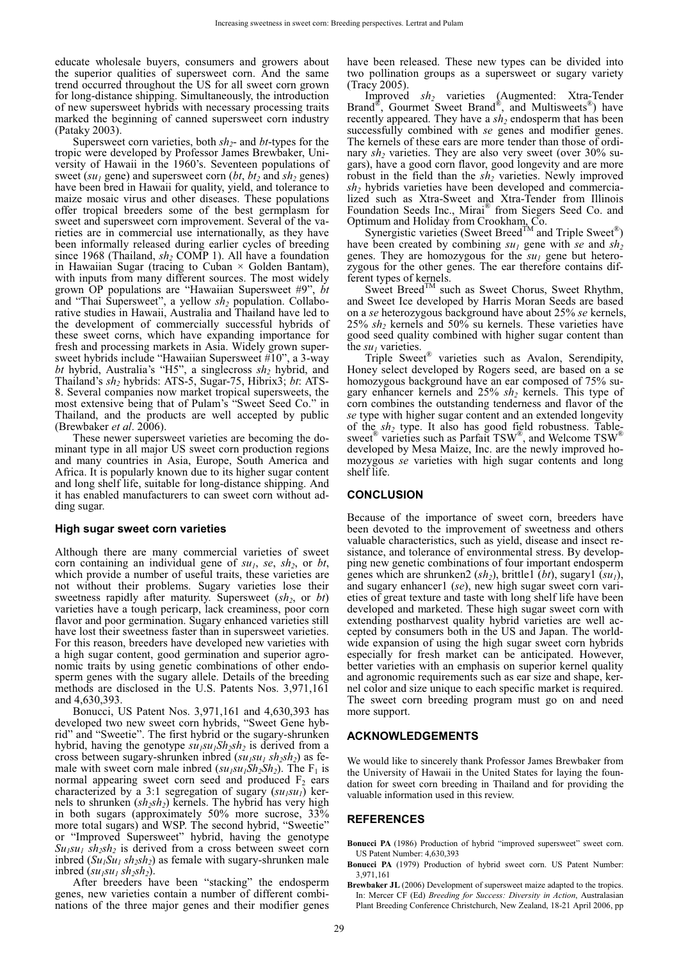educate wholesale buyers, consumers and growers about the superior qualities of supersweet corn. And the same trend occurred throughout the US for all sweet corn grown for long-distance shipping. Simultaneously, the introduction of new supersweet hybrids with necessary processing traits marked the beginning of canned supersweet corn industry (Pataky 2003).

Supersweet corn varieties, both *sh2*- and *bt*-types for the tropic were developed by Professor James Brewbaker, University of Hawaii in the 1960's. Seventeen populations of sweet ( $su_1$  gene) and supersweet corn ( $bt$ ,  $bt_2$  and  $sh_2$  genes) have been bred in Hawaii for quality, yield, and tolerance to maize mosaic virus and other diseases. These populations offer tropical breeders some of the best germplasm for sweet and supersweet corn improvement. Several of the varieties are in commercial use internationally, as they have been informally released during earlier cycles of breeding since 1968 (Thailand,  $sh_2$  COMP 1). All have a foundation in Hawaiian Sugar (tracing to Cuban  $\times$  Golden Bantam), with inputs from many different sources. The most widely grown OP populations are "Hawaiian Supersweet #9", *bt* and "Thai Supersweet", a yellow  $sh_2$  population. Collaborative studies in Hawaii, Australia and Thailand have led to the development of commercially successful hybrids of these sweet corns, which have expanding importance for fresh and processing markets in Asia. Widely grown supersweet hybrids include "Hawaiian Supersweet #10", a 3-way *bt* hybrid, Australia's "H5", a singlecross *sh2* hybrid, and Thailand's *sh2* hybrids: ATS-5, Sugar-75, Hibrix3; *bt*: ATS-8. Several companies now market tropical supersweets, the most extensive being that of Pulam's "Sweet Seed Co." in Thailand, and the products are well accepted by public (Brewbaker *et al*. 2006).

These newer supersweet varieties are becoming the dominant type in all major US sweet corn production regions and many countries in Asia, Europe, South America and Africa. It is popularly known due to its higher sugar content and long shelf life, suitable for long-distance shipping. And it has enabled manufacturers to can sweet corn without adding sugar.

#### **High sugar sweet corn varieties**

Although there are many commercial varieties of sweet corn containing an individual gene of  $su_1$ , se,  $sh_2$ , or  $bt$ , which provide a number of useful traits, these varieties are not without their problems. Sugary varieties lose their sweetness rapidly after maturity. Supersweet (*sh<sub>2</sub>*, or *bt*) varieties have a tough pericarp, lack creaminess, poor corn flavor and poor germination. Sugary enhanced varieties still have lost their sweetness faster than in supersweet varieties. For this reason, breeders have developed new varieties with a high sugar content, good germination and superior agronomic traits by using genetic combinations of other endosperm genes with the sugary allele. Details of the breeding methods are disclosed in the U.S. Patents Nos. 3,971,161 and 4,630,393.

Bonucci, US Patent Nos. 3,971,161 and 4,630,393 has developed two new sweet corn hybrids, "Sweet Gene hybrid" and "Sweetie". The first hybrid or the sugary-shrunken hybrid, having the genotype  $su_1su_1Sh_2sh_2$  is derived from a cross between sugary-shrunken inbred  $(su_1su_1 sh_2sh_2)$  as female with sweet corn male inbred  $(su_1su_1Sh_2Sh_2)$ . The F<sub>1</sub> is normal appearing sweet corn seed and produced  $F<sub>2</sub>$  ears characterized by a 3:1 segregation of sugary  $(su_1su_1)$  kernels to shrunken (*sh<sub>2</sub>sh<sub>2</sub>*) kernels. The hybrid has very high in both sugars (approximately 50% more sucrose, 33% more total sugars) and WSP. The second hybrid, "Sweetie" or "Improved Supersweet" hybrid, having the genotype  $Su_1su_1$   $sh_2sh_2$  is derived from a cross between sweet corn inbred  $(Su_1Su_1sh_2sh_2)$  as female with sugary-shrunken male inbred  $(su_1su_1 sh_2sh_2)$ .

After breeders have been "stacking" the endosperm genes, new varieties contain a number of different combinations of the three major genes and their modifier genes

have been released. These new types can be divided into two pollination groups as a supersweet or sugary variety (Tracy 2005).

Improved *sh2* varieties (Augmented: Xtra-Tender Brand®, Gourmet Sweet Brand®, and Multisweets®) have recently appeared. They have a  $sh_2$  endosperm that has been successfully combined with *se* genes and modifier genes. The kernels of these ears are more tender than those of ordinary *sh<sub>2</sub>* varieties. They are also very sweet (over 30% sugars), have a good corn flavor, good longevity and are more robust in the field than the  $sh_2$  varieties. Newly improved *sh2* hybrids varieties have been developed and commercialized such as Xtra-Sweet and Xtra-Tender from Illinois Foundation Seeds Inc., Mirai® from Siegers Seed Co. and Optimum and Holiday from Crookham, Co.

Synergistic varieties (Sweet Breed<sup>TM</sup> and Triple Sweet<sup>®</sup>) have been created by combining  $su_1$  gene with se and  $sh_2$ genes. They are homozygous for the  $su<sub>1</sub>$  gene but heterozygous for the other genes. The ear therefore contains different types of kernels.

Sweet Breed<sup>TM</sup> such as Sweet Chorus, Sweet Rhythm, and Sweet Ice developed by Harris Moran Seeds are based on a *se* heterozygous background have about 25% *se* kernels, 25% *sh2* kernels and 50% su kernels. These varieties have good seed quality combined with higher sugar content than the  $su<sub>1</sub>$  varieties.

Triple Sweet® varieties such as Avalon, Serendipity, Honey select developed by Rogers seed, are based on a se homozygous background have an ear composed of 75% sugary enhancer kernels and 25% *sh2* kernels. This type of corn combines the outstanding tenderness and flavor of the *se* type with higher sugar content and an extended longevity of the *sh2* type. It also has good field robustness. Tablesweet<sup>®</sup> varieties such as Parfait TSW<sup>®</sup>, and Welcome TSW<sup>®</sup> developed by Mesa Maize, Inc. are the newly improved homozygous *se* varieties with high sugar contents and long shelf life.

#### **CONCLUSION**

Because of the importance of sweet corn, breeders have been devoted to the improvement of sweetness and others valuable characteristics, such as yield, disease and insect resistance, and tolerance of environmental stress. By developping new genetic combinations of four important endosperm genes which are shrunken2 (*sh2*), brittle1 (*bt*), sugary1 (*su1*), and sugary enhancer1 (*se*), new high sugar sweet corn varieties of great texture and taste with long shelf life have been developed and marketed. These high sugar sweet corn with extending postharvest quality hybrid varieties are well accepted by consumers both in the US and Japan. The worldwide expansion of using the high sugar sweet corn hybrids especially for fresh market can be anticipated. However, better varieties with an emphasis on superior kernel quality and agronomic requirements such as ear size and shape, kernel color and size unique to each specific market is required. The sweet corn breeding program must go on and need more support.

#### **ACKNOWLEDGEMENTS**

We would like to sincerely thank Professor James Brewbaker from the University of Hawaii in the United States for laying the foundation for sweet corn breeding in Thailand and for providing the valuable information used in this review.

#### **REFERENCES**

- **Bonucci PA** (1986) Production of hybrid "improved supersweet" sweet corn. US Patent Number: 4,630,393
- **Bonucci PA** (1979) Production of hybrid sweet corn. US Patent Number: 3,971,161
- **Brewbaker JL** (2006) Development of supersweet maize adapted to the tropics. In: Mercer CF (Ed) *Breeding for Success: Diversity in Action*, Australasian Plant Breeding Conference Christchurch, New Zealand, 18-21 April 2006, pp